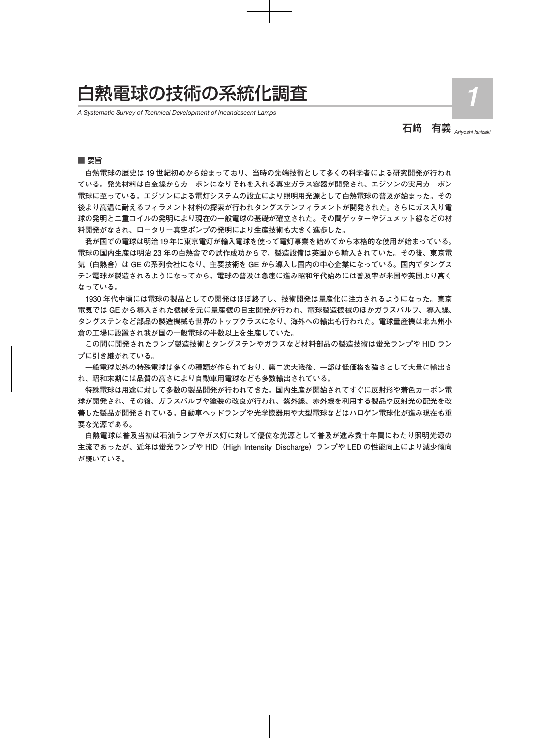# 白熱電球の技術の系統化調査 *1*

*A Systematic Survey of Technical Development of Incandescent Lamps*

石﨑 有義 *Ariyoshi Ishizaki*

■ 要旨

 **白熱電球の歴史は 19 世紀初めから始まっており、当時の先端技術として多くの科学者による研究開発が行われ ている。発光材料は白金線からカーボンになりそれを入れる真空ガラス容器が開発され、エジソンの実用カーボン 電球に至っている。エジソンによる電灯システムの設立により照明用光源として白熱電球の普及が始まった。その 後より高温に耐えるフィラメント材料の探索が行われタングステンフィラメントが開発された。さらにガス入り電 球の発明と二重コイルの発明により現在の一般電球の基礎が確立された。その間ゲッターやジュメット線などの材 料開発がなされ、ロータリー真空ポンプの発明により生産技術も大きく進歩した。**

 **我が国での電球は明治 19 年に東京電灯が輸入電球を使って電灯事業を始めてから本格的な使用が始まっている。 電球の国内生産は明治 23 年の白熱舎での試作成功からで、製造設備は英国から輸入されていた。その後、東京電 気(白熱舎)は GE の系列会社になり、主要技術を GE から導入し国内の中心企業になっている。国内でタングス テン電球が製造されるようになってから、電球の普及は急速に進み昭和年代始めには普及率が米国や英国より高く なっている。**

 **1930 年代中頃には電球の製品としての開発はほぼ終了し、技術開発は量産化に注力されるようになった。東京 電気では GE から導入された機械を元に量産機の自主開発が行われ、電球製造機械のほかガラスバルブ、導入線、 タングステンなど部品の製造機械も世界のトップクラスになり、海外への輸出も行われた。電球量産機は北九州小 倉の工場に設置され我が国の一般電球の半数以上を生産していた。**

 **この間に開発されたランプ製造技術とタングステンやガラスなど材料部品の製造技術は蛍光ランプや HID ラン プに引き継がれている。**

 **一般電球以外の特殊電球は多くの種類が作られており、第二次大戦後、一部は低価格を強さとして大量に輸出さ れ、昭和末期には品質の高さにより自動車用電球なども多数輸出されている。**

 **特殊電球は用途に対して多数の製品開発が行われてきた。国内生産が開始されてすぐに反射形や着色カーボン電 球が開発され、その後、ガラスバルブや塗装の改良が行われ、紫外線、赤外線を利用する製品や反射光の配光を改 善した製品が開発されている。自動車ヘッドランプや光学機器用や大型電球などはハロゲン電球化が進み現在も重 要な光源である。**

 **白熱電球は普及当初は石油ランプやガス灯に対して優位な光源として普及が進み数十年間にわたり照明光源の 主流であったが、近年は蛍光ランプや HID(High Intensity Discharge) ランプや LED の性能向上により減少傾向 が続いている。**